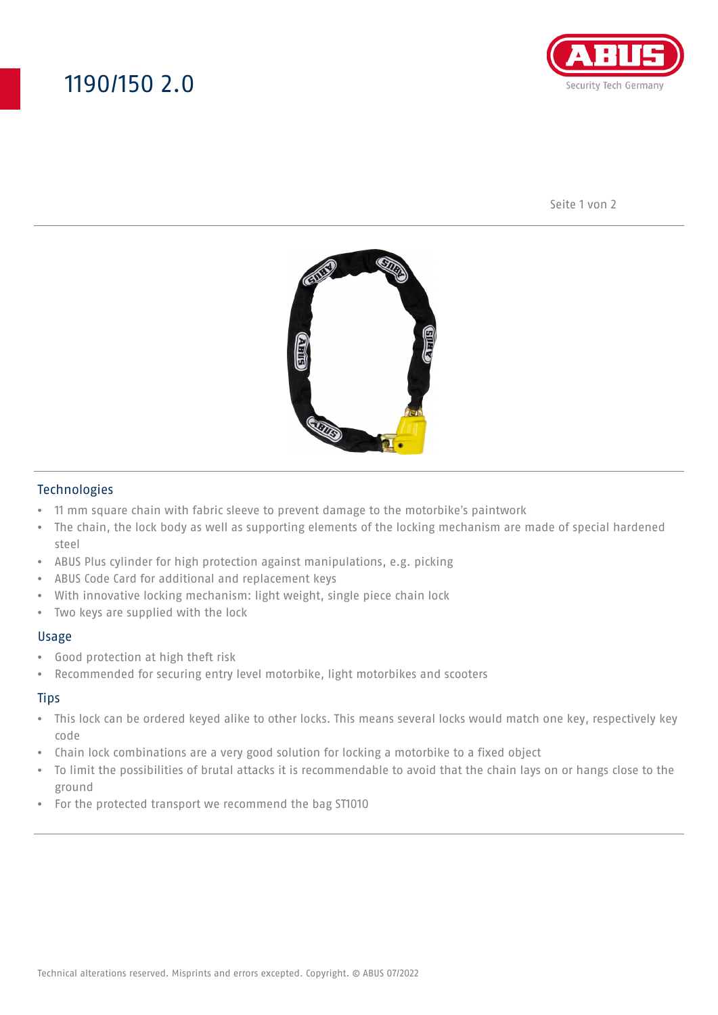## 1190/150 2.0



Seite 1 von 2



### Technologies

- 11 mm square chain with fabric sleeve to prevent damage to the motorbike's paintwork
- The chain, the lock body as well as supporting elements of the locking mechanism are made of special hardened steel
- ABUS Plus cylinder for high protection against manipulations, e.g. picking
- ABUS Code Card for additional and replacement keys
- With innovative locking mechanism: light weight, single piece chain lock
- Two keys are supplied with the lock

#### Usage

- Good protection at high theft risk
- Recommended for securing entry level motorbike, light motorbikes and scooters

### **Tips**

- This lock can be ordered keyed alike to other locks. This means several locks would match one key, respectively key code
- Chain lock combinations are a very good solution for locking a motorbike to a fixed object
- To limit the possibilities of brutal attacks it is recommendable to avoid that the chain lays on or hangs close to the ground
- For the protected transport we recommend the bag ST1010